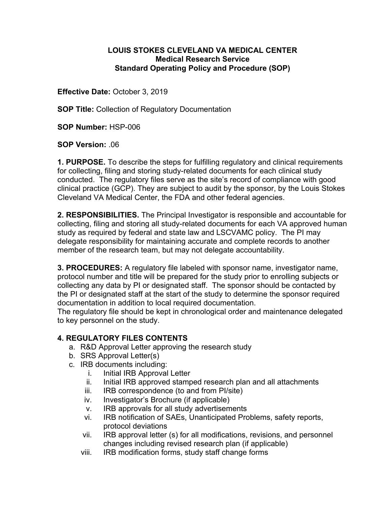## **LOUIS STOKES CLEVELAND VA MEDICAL CENTER Medical Research Service Standard Operating Policy and Procedure (SOP)**

**Effective Date:** October 3, 2019

**SOP Title:** Collection of Regulatory Documentation

**SOP Number:** HSP-006

**SOP Version:** .06

**1. PURPOSE.** To describe the steps for fulfilling regulatory and clinical requirements for collecting, filing and storing study-related documents for each clinical study conducted. The regulatory files serve as the site's record of compliance with good clinical practice (GCP). They are subject to audit by the sponsor, by the Louis Stokes Cleveland VA Medical Center, the FDA and other federal agencies.

**2. RESPONSIBILITIES.** The Principal Investigator is responsible and accountable for collecting, filing and storing all study-related documents for each VA approved human study as required by federal and state law and LSCVAMC policy. The PI may delegate responsibility for maintaining accurate and complete records to another member of the research team, but may not delegate accountability.

**3. PROCEDURES:** A regulatory file labeled with sponsor name, investigator name, protocol number and title will be prepared for the study prior to enrolling subjects or collecting any data by PI or designated staff. The sponsor should be contacted by the PI or designated staff at the start of the study to determine the sponsor required documentation in addition to local required documentation.

The regulatory file should be kept in chronological order and maintenance delegated to key personnel on the study.

## **4. REGULATORY FILES CONTENTS**

- a. R&D Approval Letter approving the research study
- b. SRS Approval Letter(s)
- c. IRB documents including:
	- i. Initial IRB Approval Letter
	- ii. Initial IRB approved stamped research plan and all attachments
	- iii. IRB correspondence (to and from PI/site)
	- iv. Investigator's Brochure (if applicable)
	- v. IRB approvals for all study advertisements
	- vi. IRB notification of SAEs, Unanticipated Problems, safety reports, protocol deviations
	- vii. IRB approval letter (s) for all modifications, revisions, and personnel changes including revised research plan (if applicable)
	- viii. IRB modification forms, study staff change forms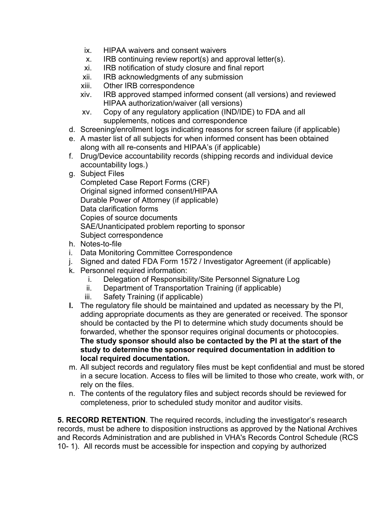- ix. HIPAA waivers and consent waivers
- x. IRB continuing review report(s) and approval letter(s).
- xi. IRB notification of study closure and final report
- xii. IRB acknowledgments of any submission
- xiii. Other IRB correspondence
- xiv. IRB approved stamped informed consent (all versions) and reviewed HIPAA authorization/waiver (all versions)
- xv. Copy of any regulatory application (IND/IDE) to FDA and all supplements, notices and correspondence
- d. Screening/enrollment logs indicating reasons for screen failure (if applicable)
- e. A master list of all subjects for when informed consent has been obtained along with all re-consents and HIPAA's (if applicable)
- f. Drug/Device accountability records (shipping records and individual device accountability logs.)
- g. Subject Files

Completed Case Report Forms (CRF) Original signed informed consent/HIPAA Durable Power of Attorney (if applicable) Data clarification forms Copies of source documents SAE/Unanticipated problem reporting to sponsor Subject correspondence

- h. Notes-to-file
- i. Data Monitoring Committee Correspondence
- j. Signed and dated FDA Form 1572 / Investigator Agreement (if applicable)
- k. Personnel required information:
	- i. Delegation of Responsibility/Site Personnel Signature Log
	- ii. Department of Transportation Training (if applicable)
	- iii. Safety Training (if applicable)
- **l.** The regulatory file should be maintained and updated as necessary by the PI, adding appropriate documents as they are generated or received. The sponsor should be contacted by the PI to determine which study documents should be forwarded, whether the sponsor requires original documents or photocopies. **The study sponsor should also be contacted by the PI at the start of the study to determine the sponsor required documentation in addition to local required documentation.**
- m. All subject records and regulatory files must be kept confidential and must be stored in a secure location. Access to files will be limited to those who create, work with, or rely on the files.
- n. The contents of the regulatory files and subject records should be reviewed for completeness, prior to scheduled study monitor and auditor visits.

**5. RECORD RETENTION**. The required records, including the investigator's research records, must be adhere to disposition instructions as approved by the National Archives and Records Administration and are published in VHA's Records Control Schedule (RCS 10- 1). All records must be accessible for inspection and copying by authorized